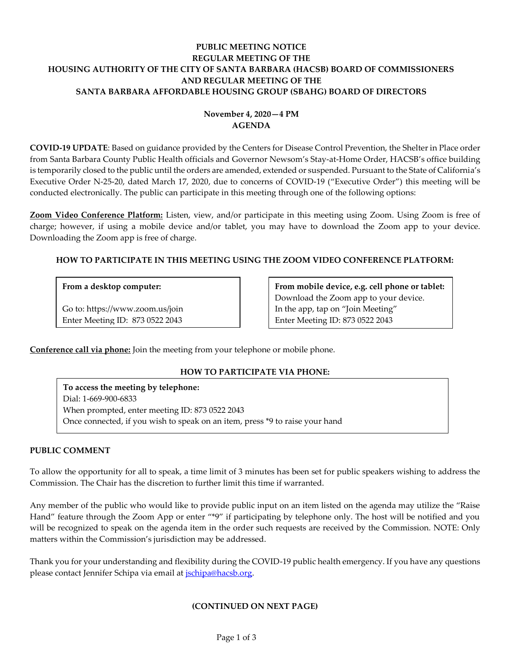# **PUBLIC MEETING NOTICE REGULAR MEETING OF THE HOUSING AUTHORITY OF THE CITY OF SANTA BARBARA (HACSB) BOARD OF COMMISSIONERS AND REGULAR MEETING OF THE SANTA BARBARA AFFORDABLE HOUSING GROUP (SBAHG) BOARD OF DIRECTORS**

# **November 4, 2020—4 PM AGENDA**

**COVID-19 UPDATE**: Based on guidance provided by the Centers for Disease Control Prevention, the Shelter in Place order from Santa Barbara County Public Health officials and Governor Newsom's Stay-at-Home Order, HACSB's office building is temporarily closed to the public until the orders are amended, extended or suspended. Pursuant to the State of California's Executive Order N-25-20, dated March 17, 2020, due to concerns of COVID-19 ("Executive Order") this meeting will be conducted electronically. The public can participate in this meeting through one of the following options:

**Zoom Video Conference Platform:** Listen, view, and/or participate in this meeting using Zoom. Using Zoom is free of charge; however, if using a mobile device and/or tablet, you may have to download the Zoom app to your device. Downloading the Zoom app is free of charge.

# **HOW TO PARTICIPATE IN THIS MEETING USING THE ZOOM VIDEO CONFERENCE PLATFORM:**

# **From a desktop computer:**

Go to: https://www.zoom.us/join Enter Meeting ID: 873 0522 2043 **From mobile device, e.g. cell phone or tablet:** Download the Zoom app to your device. In the app, tap on "Join Meeting" Enter Meeting ID: 873 0522 2043

**Conference call via phone:** Join the meeting from your telephone or mobile phone.

# **HOW TO PARTICIPATE VIA PHONE:**

**To access the meeting by telephone:** Dial: 1-669-900-6833 When prompted, enter meeting ID: 873 0522 2043 Once connected, if you wish to speak on an item, press \*9 to raise your hand

# **PUBLIC COMMENT**

To allow the opportunity for all to speak, a time limit of 3 minutes has been set for public speakers wishing to address the Commission. The Chair has the discretion to further limit this time if warranted.

Any member of the public who would like to provide public input on an item listed on the agenda may utilize the "Raise Hand" feature through the Zoom App or enter "\*9" if participating by telephone only. The host will be notified and you will be recognized to speak on the agenda item in the order such requests are received by the Commission. NOTE: Only matters within the Commission's jurisdiction may be addressed.

Thank you for your understanding and flexibility during the COVID-19 public health emergency. If you have any questions please contact Jennifer Schipa via email at *jschipa@hacsb.org*.

# **(CONTINUED ON NEXT PAGE)**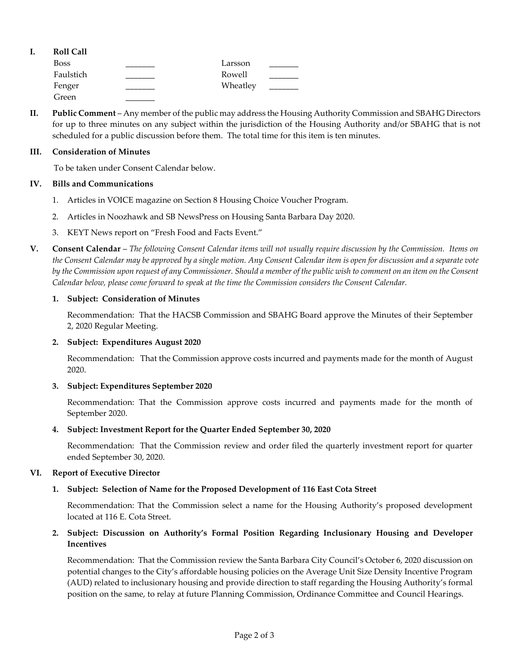| <b>Roll Call</b> |          |  |
|------------------|----------|--|
| <b>Boss</b>      | Larsson  |  |
| Faulstich        | Rowell   |  |
| Fenger           | Wheatley |  |
| Green            |          |  |

**II. Public Comment** – Any member of the public may address the Housing Authority Commission and SBAHG Directors for up to three minutes on any subject within the jurisdiction of the Housing Authority and/or SBAHG that is not scheduled for a public discussion before them. The total time for this item is ten minutes.

#### **III. Consideration of Minutes**

To be taken under Consent Calendar below.

#### **IV. Bills and Communications**

- 1. [Articles in VOICE magazine on Section 8 Housing Choice Voucher Program.](https://hacsb.org/download/meetings_2020/items/11_november/Item-IV.1.pdf)
- 2. [Articles in Noozhawk and SB NewsPress on Housing Santa Barbara Day 2020.](https://hacsb.org/download/meetings_2020/items/11_november/Item-IV.2.pdf)
- 3. [KEYT News report on "Fresh Food and Facts Event."](https://hacsb.org/download/meetings_2020/items/11_november/Item-IV.3.pdf)
- **V. Consent Calendar** *The following Consent Calendar items will not usually require discussion by the Commission. Items on the Consent Calendar may be approved by a single motion. Any Consent Calendar item is open for discussion and a separate vote by the Commission upon request of any Commissioner. Should a member of the public wish to comment on an item on the Consent Calendar below, please come forward to speak at the time the Commission considers the Consent Calendar.*

#### **1. Subject: Consideration of Minutes**

Recommendation: That the HACSB Commission [and SBAHG Board approve the Minutes of their September](https://hacsb.org/download/meetings_2020/items/11_november/Item-V.1.pdf)  2, 2020 Regular Meeting.

#### **2. Subject: Expenditures August 2020**

[Recommendation: That the Commission approve costs incurred and payments made for the month of August](https://hacsb.org/download/meetings_2020/items/11_november/Item-V.2.pdf) 2020.

# **3. Subject: Expenditures September 2020**

[Recommendation: That the Commission approve costs incurred and payments made for the month of](https://hacsb.org/download/meetings_2020/items/11_november/Item-V.3.pdf)  September 2020.

# **4. Subject: Investment Report for the Quarter Ended September 30, 2020**

Recommendation: That the Commission [review and order filed the quarterly investment report for quarter](https://hacsb.org/download/meetings_2020/items/11_november/Item-V.4.pdf)  ended September 30, 2020.

# **VI. Report of Executive Director**

# **1. Subject: Selection of Name for the Proposed Development of 116 East Cota Street**

Recommendation: [That the Commission select a name for the Housing Authority's proposed development](https://hacsb.org/download/meetings_2020/items/11_november/Item-VI.1.pdf)  located at 116 E. Cota Street.

# **2. Subject: Discussion on Authority's Formal Position Regarding Inclusionary Housing and Developer Incentives**

Recommendation: That the Commission review the Santa Barbara City Council's October 6, 2020 discussion on potential changes to the City's affordable housing policies on the Average Unit Size Density Incentive Program [\(AUD\) related to inclusionary housing and provide direction to staff regarding the Housing Authorit](https://hacsb.org/download/meetings_2020/items/11_november/Item-VI.2.pdf)y's formal position on the same, to relay at future Planning Commission, Ordinance Committee and Council Hearings.